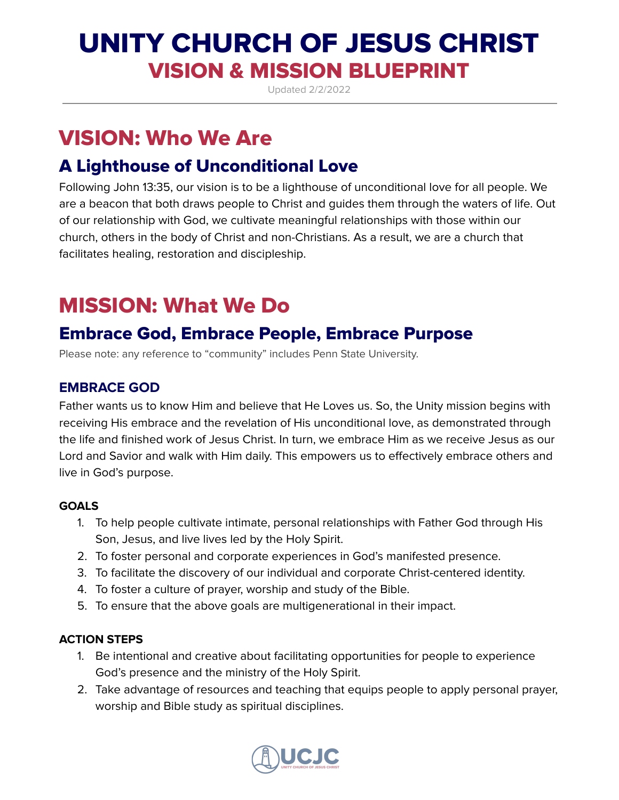# UNITY CHURCH OF JESUS CHRIST VISION & MISSION BLUEPRINT

Updated 2/2/2022

# VISION: Who We Are

## A Lighthouse of Unconditional Love

Following John 13:35, our vision is to be a lighthouse of unconditional love for all people. We are a beacon that both draws people to Christ and guides them through the waters of life. Out of our relationship with God, we cultivate meaningful relationships with those within our church, others in the body of Christ and non-Christians. As a result, we are a church that facilitates healing, restoration and discipleship.

# MISSION: What We Do

## Embrace God, Embrace People, Embrace Purpose

Please note: any reference to "community" includes Penn State University.

## **EMBRACE GOD**

Father wants us to know Him and believe that He Loves us. So, the Unity mission begins with receiving His embrace and the revelation of His unconditional love, as demonstrated through the life and finished work of Jesus Christ. In turn, we embrace Him as we receive Jesus as our Lord and Savior and walk with Him daily. This empowers us to effectively embrace others and live in God's purpose.

## **GOALS**

- 1. To help people cultivate intimate, personal relationships with Father God through His Son, Jesus, and live lives led by the Holy Spirit.
- 2. To foster personal and corporate experiences in God's manifested presence.
- 3. To facilitate the discovery of our individual and corporate Christ-centered identity.
- 4. To foster a culture of prayer, worship and study of the Bible.
- 5. To ensure that the above goals are multigenerational in their impact.

## **ACTION STEPS**

- 1. Be intentional and creative about facilitating opportunities for people to experience God's presence and the ministry of the Holy Spirit.
- 2. Take advantage of resources and teaching that equips people to apply personal prayer, worship and Bible study as spiritual disciplines.

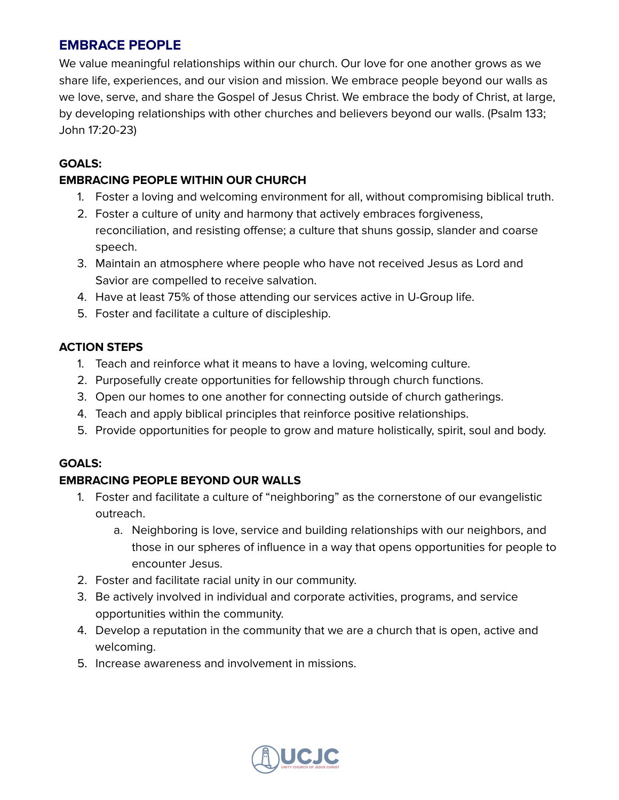## **EMBRACE PEOPLE**

We value meaningful relationships within our church. Our love for one another grows as we share life, experiences, and our vision and mission. We embrace people beyond our walls as we love, serve, and share the Gospel of Jesus Christ. We embrace the body of Christ, at large, by developing relationships with other churches and believers beyond our walls. (Psalm 133; John 17:20-23)

#### **GOALS:**

#### **EMBRACING PEOPLE WITHIN OUR CHURCH**

- 1. Foster a loving and welcoming environment for all, without compromising biblical truth.
- 2. Foster a culture of unity and harmony that actively embraces forgiveness, reconciliation, and resisting offense; a culture that shuns gossip, slander and coarse speech.
- 3. Maintain an atmosphere where people who have not received Jesus as Lord and Savior are compelled to receive salvation.
- 4. Have at least 75% of those attending our services active in U-Group life.
- 5. Foster and facilitate a culture of discipleship.

#### **ACTION STEPS**

- 1. Teach and reinforce what it means to have a loving, welcoming culture.
- 2. Purposefully create opportunities for fellowship through church functions.
- 3. Open our homes to one another for connecting outside of church gatherings.
- 4. Teach and apply biblical principles that reinforce positive relationships.
- 5. Provide opportunities for people to grow and mature holistically, spirit, soul and body.

#### **GOALS:**

## **EMBRACING PEOPLE BEYOND OUR WALLS**

- 1. Foster and facilitate a culture of "neighboring" as the cornerstone of our evangelistic outreach.
	- a. Neighboring is love, service and building relationships with our neighbors, and those in our spheres of influence in a way that opens opportunities for people to encounter Jesus.
- 2. Foster and facilitate racial unity in our community.
- 3. Be actively involved in individual and corporate activities, programs, and service opportunities within the community.
- 4. Develop a reputation in the community that we are a church that is open, active and welcoming.
- 5. Increase awareness and involvement in missions.

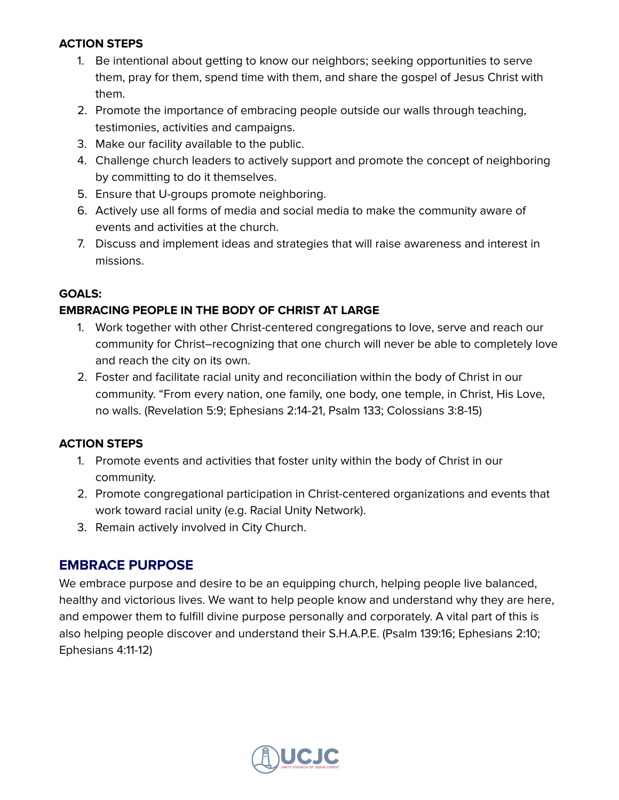#### **ACTION STEPS**

- 1. Be intentional about getting to know our neighbors; seeking opportunities to serve them, pray for them, spend time with them, and share the gospel of Jesus Christ with them.
- 2. Promote the importance of embracing people outside our walls through teaching, testimonies, activities and campaigns.
- 3. Make our facility available to the public.
- 4. Challenge church leaders to actively support and promote the concept of neighboring by committing to do it themselves.
- 5. Ensure that U-groups promote neighboring.
- 6. Actively use all forms of media and social media to make the community aware of events and activities at the church.
- 7. Discuss and implement ideas and strategies that will raise awareness and interest in missions.

#### **GOALS:**

## **EMBRACING PEOPLE IN THE BODY OF CHRIST AT LARGE**

- 1. Work together with other Christ-centered congregations to love, serve and reach our community for Christ–recognizing that one church will never be able to completely love and reach the city on its own.
- 2. Foster and facilitate racial unity and reconciliation within the body of Christ in our community. "From every nation, one family, one body, one temple, in Christ, His Love, no walls. (Revelation 5:9; Ephesians 2:14-21, Psalm 133; Colossians 3:8-15)

## **ACTION STEPS**

- 1. Promote events and activities that foster unity within the body of Christ in our community.
- 2. Promote congregational participation in Christ-centered organizations and events that work toward racial unity (e.g. Racial Unity Network).
- 3. Remain actively involved in City Church.

## **EMBRACE PURPOSE**

We embrace purpose and desire to be an equipping church, helping people live balanced, healthy and victorious lives. We want to help people know and understand why they are here, and empower them to fulfill divine purpose personally and corporately. A vital part of this is also helping people discover and understand their S.H.A.P.E. (Psalm 139:16; Ephesians 2:10; Ephesians 4:11-12)

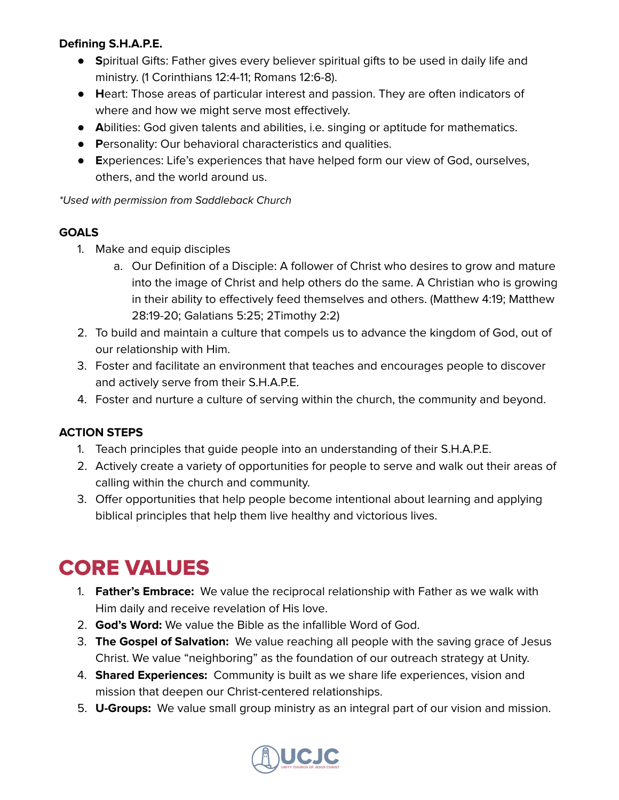## **Defining S.H.A.P.E.**

- **S**piritual Gifts: Father gives every believer spiritual gifts to be used in daily life and ministry. (1 Corinthians 12:4-11; Romans 12:6-8).
- **H**eart: Those areas of particular interest and passion. They are often indicators of where and how we might serve most effectively.
- **A**bilities: God given talents and abilities, i.e. singing or aptitude for mathematics.
- **P**ersonality: Our behavioral characteristics and qualities.
- **E**xperiences: Life's experiences that have helped form our view of God, ourselves, others, and the world around us.

\*Used with permission from Saddleback Church

#### **GOALS**

- 1. Make and equip disciples
	- a. Our Definition of a Disciple: A follower of Christ who desires to grow and mature into the image of Christ and help others do the same. A Christian who is growing in their ability to effectively feed themselves and others. (Matthew 4:19; Matthew 28:19-20; Galatians 5:25; 2Timothy 2:2)
- 2. To build and maintain a culture that compels us to advance the kingdom of God, out of our relationship with Him.
- 3. Foster and facilitate an environment that teaches and encourages people to discover and actively serve from their S.H.A.P.E.
- 4. Foster and nurture a culture of serving within the church, the community and beyond.

#### **ACTION STEPS**

- 1. Teach principles that guide people into an understanding of their S.H.A.P.E.
- 2. Actively create a variety of opportunities for people to serve and walk out their areas of calling within the church and community.
- 3. Offer opportunities that help people become intentional about learning and applying biblical principles that help them live healthy and victorious lives.

## CORE VALUES

- 1. **Father's Embrace:** We value the reciprocal relationship with Father as we walk with Him daily and receive revelation of His love.
- 2. **God's Word:** We value the Bible as the infallible Word of God.
- 3. **The Gospel of Salvation:** We value reaching all people with the saving grace of Jesus Christ. We value "neighboring" as the foundation of our outreach strategy at Unity.
- 4. **Shared Experiences:** Community is built as we share life experiences, vision and mission that deepen our Christ-centered relationships.
- 5. **U-Groups:** We value small group ministry as an integral part of our vision and mission.

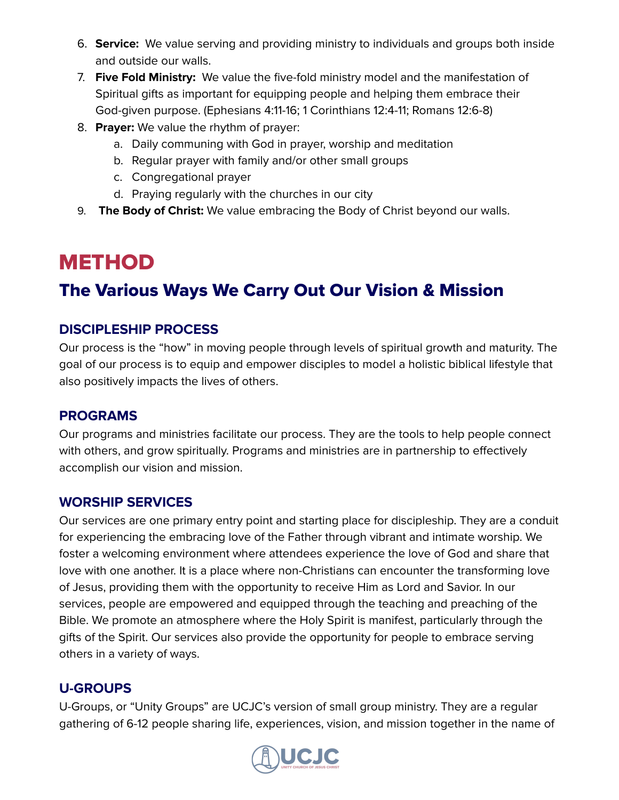- 6. **Service:** We value serving and providing ministry to individuals and groups both inside and outside our walls.
- 7. **Five Fold Ministry:** We value the five-fold ministry model and the manifestation of Spiritual gifts as important for equipping people and helping them embrace their God-given purpose. (Ephesians 4:11-16; 1 Corinthians 12:4-11; Romans 12:6-8)
- 8. **Prayer:** We value the rhythm of prayer:
	- a. Daily communing with God in prayer, worship and meditation
	- b. Regular prayer with family and/or other small groups
	- c. Congregational prayer
	- d. Praying regularly with the churches in our city
- 9. **The Body of Christ:** We value embracing the Body of Christ beyond our walls.

# METHOD

## The Various Ways We Carry Out Our Vision & Mission

## **DISCIPLESHIP PROCESS**

Our process is the "how" in moving people through levels of spiritual growth and maturity. The goal of our process is to equip and empower disciples to model a holistic biblical lifestyle that also positively impacts the lives of others.

## **PROGRAMS**

Our programs and ministries facilitate our process. They are the tools to help people connect with others, and grow spiritually. Programs and ministries are in partnership to effectively accomplish our vision and mission.

## **WORSHIP SERVICES**

Our services are one primary entry point and starting place for discipleship. They are a conduit for experiencing the embracing love of the Father through vibrant and intimate worship. We foster a welcoming environment where attendees experience the love of God and share that love with one another. It is a place where non-Christians can encounter the transforming love of Jesus, providing them with the opportunity to receive Him as Lord and Savior. In our services, people are empowered and equipped through the teaching and preaching of the Bible. We promote an atmosphere where the Holy Spirit is manifest, particularly through the gifts of the Spirit. Our services also provide the opportunity for people to embrace serving others in a variety of ways.

## **U-GROUPS**

U-Groups, or "Unity Groups" are UCJC's version of small group ministry. They are a regular gathering of 6-12 people sharing life, experiences, vision, and mission together in the name of